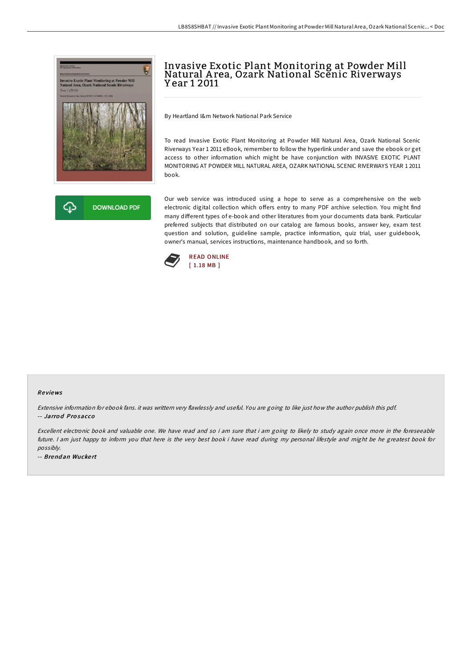



# Invasive Exotic Plant Monitoring at Powder Mill Natural A rea, Ozark National Scenic Riverways Y ear 1 2011

By Heartland I&m Network National Park Service

To read Invasive Exotic Plant Monitoring at Powder Mill Natural Area, Ozark National Scenic Riverways Year 1 2011 eBook, remember to follow the hyperlink under and save the ebook or get access to other information which might be have conjunction with INVASIVE EXOTIC PLANT MONITORING AT POWDER MILL NATURAL AREA, OZARK NATIONAL SCENIC RIVERWAYS YEAR 1 2011 book.

Our web service was introduced using a hope to serve as a comprehensive on the web electronic digital collection which offers entry to many PDF archive selection. You might find many different types of e-book and other literatures from your documents data bank. Particular preferred subjects that distributed on our catalog are famous books, answer key, exam test question and solution, guideline sample, practice information, quiz trial, user guidebook, owner's manual, services instructions, maintenance handbook, and so forth.



#### Re views

Extensive information for ebook fans. it was writtern very flawlessly and useful. You are going to like just how the author publish this pdf. -- Jarro d Pro sacco

Excellent electronic book and valuable one. We have read and so i am sure that i am going to likely to study again once more in the foreseeable future. <sup>I</sup> am just happy to inform you that here is the very best book i have read during my personal lifestyle and might be he greatest book for possibly.

-- Brend an Wucke rt